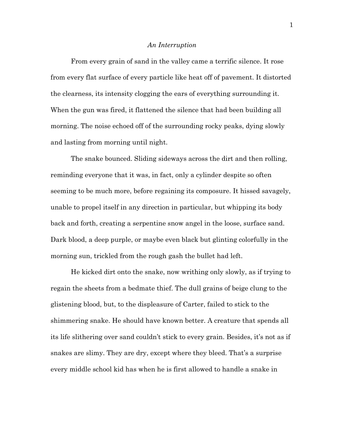## *An Interruption*

From every grain of sand in the valley came a terrific silence. It rose from every flat surface of every particle like heat off of pavement. It distorted the clearness, its intensity clogging the ears of everything surrounding it. When the gun was fired, it flattened the silence that had been building all morning. The noise echoed off of the surrounding rocky peaks, dying slowly and lasting from morning until night.

The snake bounced. Sliding sideways across the dirt and then rolling, reminding everyone that it was, in fact, only a cylinder despite so often seeming to be much more, before regaining its composure. It hissed savagely, unable to propel itself in any direction in particular, but whipping its body back and forth, creating a serpentine snow angel in the loose, surface sand. Dark blood, a deep purple, or maybe even black but glinting colorfully in the morning sun, trickled from the rough gash the bullet had left.

He kicked dirt onto the snake, now writhing only slowly, as if trying to regain the sheets from a bedmate thief. The dull grains of beige clung to the glistening blood, but, to the displeasure of Carter, failed to stick to the shimmering snake. He should have known better. A creature that spends all its life slithering over sand couldn't stick to every grain. Besides, it's not as if snakes are slimy. They are dry, except where they bleed. That's a surprise every middle school kid has when he is first allowed to handle a snake in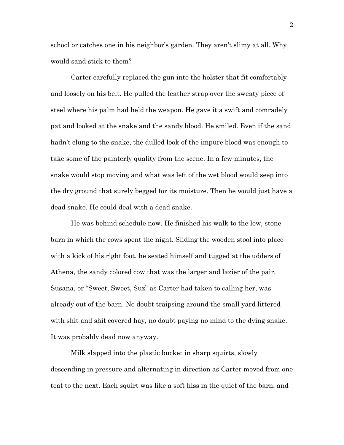school or catches one in his neighbor's garden. They aren't slimy at all. Why would sand stick to them?

Carter carefully replaced the gun into the holster that fit comfortably and loosely on his belt. He pulled the leather strap over the sweaty piece of steel where his palm had held the weapon. He gave it a swift and comradely pat and looked at the snake and the sandy blood. He smiled. Even if the sand hadn't clung to the snake, the dulled look of the impure blood was enough to take some of the painterly quality from the scene. In a few minutes, the snake would stop moving and what was left of the wet blood would seep into the dry ground that surely begged for its moisture. Then he would just have a dead snake. He could deal with a dead snake.

He was behind schedule now. He finished his walk to the low, stone barn in which the cows spent the night. Sliding the wooden stool into place with a kick of his right foot, he seated himself and tugged at the udders of Athena, the sandy colored cow that was the larger and lazier of the pair. Susana, or "Sweet, Sweet, Suz" as Carter had taken to calling her, was already out of the barn. No doubt traipsing around the small yard littered with shit and shit covered hay, no doubt paying no mind to the dying snake. It was probably dead now anyway.

Milk slapped into the plastic bucket in sharp squirts, slowly descending in pressure and alternating in direction as Carter moved from one teat to the next. Each squirt was like a soft hiss in the quiet of the barn, and